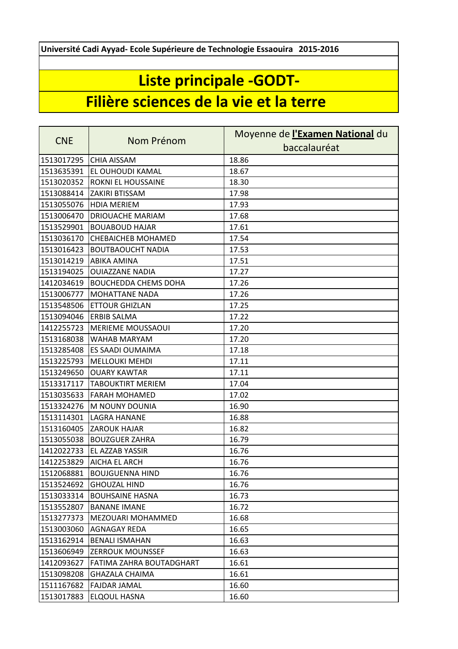**Université Cadi Ayyad- Ecole Supérieure de Technologie Essaouira 2015-2016**

## **Liste principale -GODT-**

## **Filière sciences de la vie et la terre**

| <b>CNE</b> | Nom Prénom                  | Moyenne de l'Examen National du |
|------------|-----------------------------|---------------------------------|
|            |                             | baccalauréat                    |
| 1513017295 | <b>CHIA AISSAM</b>          | 18.86                           |
| 1513635391 | EL OUHOUDI KAMAL            | 18.67                           |
| 1513020352 | <b>ROKNI EL HOUSSAINE</b>   | 18.30                           |
| 1513088414 | ZAKIRI BTISSAM              | 17.98                           |
| 1513055076 | <b>HDIA MERIEM</b>          | 17.93                           |
| 1513006470 | DRIOUACHE MARIAM            | 17.68                           |
| 1513529901 | <b>BOUABOUD HAJAR</b>       | 17.61                           |
| 1513036170 | <b>CHEBAICHEB MOHAMED</b>   | 17.54                           |
| 1513016423 | <b>BOUTBAOUCHT NADIA</b>    | 17.53                           |
| 1513014219 | <b>ABIKA AMINA</b>          | 17.51                           |
| 1513194025 | <b>OUIAZZANE NADIA</b>      | 17.27                           |
| 1412034619 | <b>BOUCHEDDA CHEMS DOHA</b> | 17.26                           |
| 1513006777 | <b>MOHATTANE NADA</b>       | 17.26                           |
| 1513548506 | <b>ETTOUR GHIZLAN</b>       | 17.25                           |
| 1513094046 | <b>ERBIB SALMA</b>          | 17.22                           |
| 1412255723 | <b>MERIEME MOUSSAOUI</b>    | 17.20                           |
| 1513168038 | WAHAB MARYAM                | 17.20                           |
| 1513285408 | ES SAADI OUMAIMA            | 17.18                           |
| 1513225793 | <b>MELLOUKI MEHDI</b>       | 17.11                           |
| 1513249650 | <b>OUARY KAWTAR</b>         | 17.11                           |
| 1513317117 | <b>TABOUKTIRT MERIEM</b>    | 17.04                           |
| 1513035633 | <b>FARAH MOHAMED</b>        | 17.02                           |
| 1513324276 | M NOUNY DOUNIA              | 16.90                           |
| 1513114301 | LAGRA HANANE                | 16.88                           |
| 1513160405 | <b>ZAROUK HAJAR</b>         | 16.82                           |
| 1513055038 | <b>BOUZGUER ZAHRA</b>       | 16.79                           |
| 1412022733 | <b>EL AZZAB YASSIR</b>      | 16.76                           |
| 1412253829 | <b>AICHA EL ARCH</b>        | 16.76                           |
| 1512068881 | <b>BOUJGUENNA HIND</b>      | 16.76                           |
| 1513524692 | <b>GHOUZAL HIND</b>         | 16.76                           |
| 1513033314 | <b>BOUHSAINE HASNA</b>      | 16.73                           |
| 1513552807 | <b>BANANE IMANE</b>         | 16.72                           |
| 1513277373 | MEZOUARI MOHAMMED           | 16.68                           |
| 1513003060 | AGNAGAY REDA                | 16.65                           |
| 1513162914 | <b>BENALI ISMAHAN</b>       | 16.63                           |
| 1513606949 | <b>ZERROUK MOUNSSEF</b>     | 16.63                           |
| 1412093627 | FATIMA ZAHRA BOUTADGHART    | 16.61                           |
| 1513098208 | <b>GHAZALA CHAIMA</b>       | 16.61                           |
| 1511167682 | <b>FAJDAR JAMAL</b>         | 16.60                           |
| 1513017883 | ELQOUL HASNA                | 16.60                           |